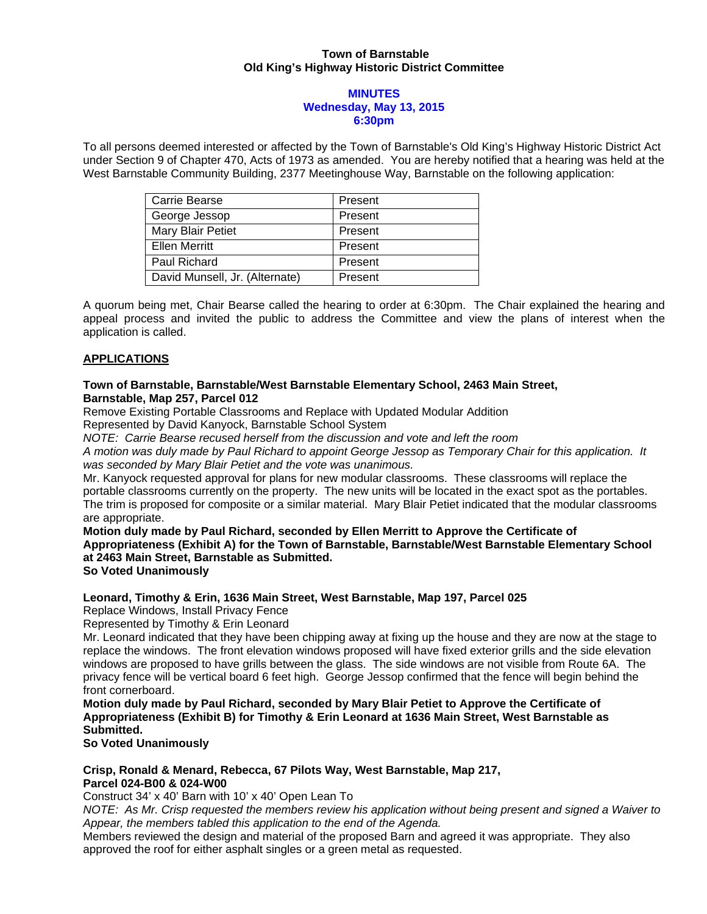### **Town of Barnstable Old King's Highway Historic District Committee**

#### **MINUTES Wednesday, May 13, 2015 6:30pm**

To all persons deemed interested or affected by the Town of Barnstable's Old King's Highway Historic District Act under Section 9 of Chapter 470, Acts of 1973 as amended. You are hereby notified that a hearing was held at the West Barnstable Community Building, 2377 Meetinghouse Way, Barnstable on the following application:

| Carrie Bearse                  | Present |
|--------------------------------|---------|
| George Jessop                  | Present |
| Mary Blair Petiet              | Present |
| <b>Ellen Merritt</b>           | Present |
| Paul Richard                   | Present |
| David Munsell, Jr. (Alternate) | Present |

A quorum being met, Chair Bearse called the hearing to order at 6:30pm. The Chair explained the hearing and appeal process and invited the public to address the Committee and view the plans of interest when the application is called.

# **APPLICATIONS**

#### **Town of Barnstable, Barnstable/West Barnstable Elementary School, 2463 Main Street, Barnstable, Map 257, Parcel 012**

Remove Existing Portable Classrooms and Replace with Updated Modular Addition

Represented by David Kanyock, Barnstable School System

*NOTE: Carrie Bearse recused herself from the discussion and vote and left the room* 

*A motion was duly made by Paul Richard to appoint George Jessop as Temporary Chair for this application. It was seconded by Mary Blair Petiet and the vote was unanimous.* 

Mr. Kanyock requested approval for plans for new modular classrooms. These classrooms will replace the portable classrooms currently on the property. The new units will be located in the exact spot as the portables. The trim is proposed for composite or a similar material. Mary Blair Petiet indicated that the modular classrooms are appropriate.

**Motion duly made by Paul Richard, seconded by Ellen Merritt to Approve the Certificate of Appropriateness (Exhibit A) for the Town of Barnstable, Barnstable/West Barnstable Elementary School at 2463 Main Street, Barnstable as Submitted. So Voted Unanimously**

### **Leonard, Timothy & Erin, 1636 Main Street, West Barnstable, Map 197, Parcel 025**

Replace Windows, Install Privacy Fence

Represented by Timothy & Erin Leonard

Mr. Leonard indicated that they have been chipping away at fixing up the house and they are now at the stage to replace the windows. The front elevation windows proposed will have fixed exterior grills and the side elevation windows are proposed to have grills between the glass. The side windows are not visible from Route 6A. The privacy fence will be vertical board 6 feet high. George Jessop confirmed that the fence will begin behind the front cornerboard.

**Motion duly made by Paul Richard, seconded by Mary Blair Petiet to Approve the Certificate of Appropriateness (Exhibit B) for Timothy & Erin Leonard at 1636 Main Street, West Barnstable as Submitted.** 

### **So Voted Unanimously**

# **Crisp, Ronald & Menard, Rebecca, 67 Pilots Way, West Barnstable, Map 217, Parcel 024-B00 & 024-W00**

Construct 34' x 40' Barn with 10' x 40' Open Lean To

*NOTE: As Mr. Crisp requested the members review his application without being present and signed a Waiver to Appear, the members tabled this application to the end of the Agenda.* 

Members reviewed the design and material of the proposed Barn and agreed it was appropriate. They also approved the roof for either asphalt singles or a green metal as requested.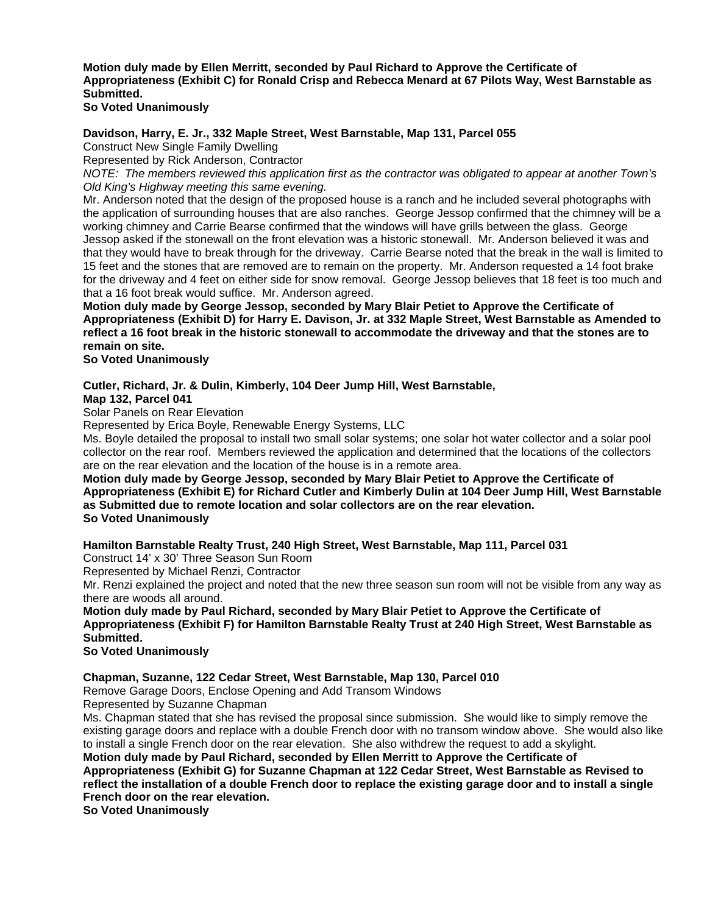**Motion duly made by Ellen Merritt, seconded by Paul Richard to Approve the Certificate of Appropriateness (Exhibit C) for Ronald Crisp and Rebecca Menard at 67 Pilots Way, West Barnstable as Submitted. So Voted Unanimously** 

**Davidson, Harry, E. Jr., 332 Maple Street, West Barnstable, Map 131, Parcel 055** 

Construct New Single Family Dwelling

Represented by Rick Anderson, Contractor

*NOTE: The members reviewed this application first as the contractor was obligated to appear at another Town's Old King's Highway meeting this same evening.* 

Mr. Anderson noted that the design of the proposed house is a ranch and he included several photographs with the application of surrounding houses that are also ranches. George Jessop confirmed that the chimney will be a working chimney and Carrie Bearse confirmed that the windows will have grills between the glass. George Jessop asked if the stonewall on the front elevation was a historic stonewall. Mr. Anderson believed it was and that they would have to break through for the driveway. Carrie Bearse noted that the break in the wall is limited to 15 feet and the stones that are removed are to remain on the property. Mr. Anderson requested a 14 foot brake for the driveway and 4 feet on either side for snow removal. George Jessop believes that 18 feet is too much and that a 16 foot break would suffice. Mr. Anderson agreed.

**Motion duly made by George Jessop, seconded by Mary Blair Petiet to Approve the Certificate of Appropriateness (Exhibit D) for Harry E. Davison, Jr. at 332 Maple Street, West Barnstable as Amended to reflect a 16 foot break in the historic stonewall to accommodate the driveway and that the stones are to remain on site.** 

**So Voted Unanimously** 

### **Cutler, Richard, Jr. & Dulin, Kimberly, 104 Deer Jump Hill, West Barnstable,**

**Map 132, Parcel 041** 

Solar Panels on Rear Elevation

Represented by Erica Boyle, Renewable Energy Systems, LLC

Ms. Boyle detailed the proposal to install two small solar systems; one solar hot water collector and a solar pool collector on the rear roof. Members reviewed the application and determined that the locations of the collectors are on the rear elevation and the location of the house is in a remote area.

**Motion duly made by George Jessop, seconded by Mary Blair Petiet to Approve the Certificate of Appropriateness (Exhibit E) for Richard Cutler and Kimberly Dulin at 104 Deer Jump Hill, West Barnstable as Submitted due to remote location and solar collectors are on the rear elevation. So Voted Unanimously** 

### **Hamilton Barnstable Realty Trust, 240 High Street, West Barnstable, Map 111, Parcel 031**

Construct 14' x 30' Three Season Sun Room

Represented by Michael Renzi, Contractor

Mr. Renzi explained the project and noted that the new three season sun room will not be visible from any way as there are woods all around.

**Motion duly made by Paul Richard, seconded by Mary Blair Petiet to Approve the Certificate of Appropriateness (Exhibit F) for Hamilton Barnstable Realty Trust at 240 High Street, West Barnstable as Submitted.** 

# **So Voted Unanimously**

**Chapman, Suzanne, 122 Cedar Street, West Barnstable, Map 130, Parcel 010** 

Remove Garage Doors, Enclose Opening and Add Transom Windows

Represented by Suzanne Chapman

Ms. Chapman stated that she has revised the proposal since submission. She would like to simply remove the existing garage doors and replace with a double French door with no transom window above. She would also like to install a single French door on the rear elevation. She also withdrew the request to add a skylight.

**Motion duly made by Paul Richard, seconded by Ellen Merritt to Approve the Certificate of Appropriateness (Exhibit G) for Suzanne Chapman at 122 Cedar Street, West Barnstable as Revised to reflect the installation of a double French door to replace the existing garage door and to install a single French door on the rear elevation.** 

**So Voted Unanimously**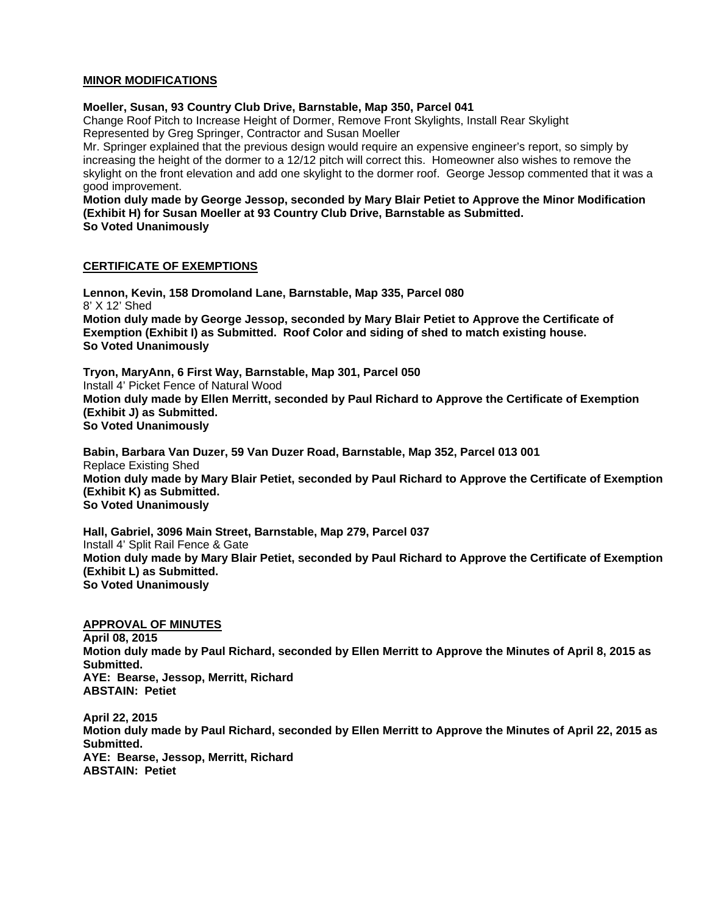# **MINOR MODIFICATIONS**

#### **Moeller, Susan, 93 Country Club Drive, Barnstable, Map 350, Parcel 041**

Change Roof Pitch to Increase Height of Dormer, Remove Front Skylights, Install Rear Skylight Represented by Greg Springer, Contractor and Susan Moeller

Mr. Springer explained that the previous design would require an expensive engineer's report, so simply by increasing the height of the dormer to a 12/12 pitch will correct this. Homeowner also wishes to remove the skylight on the front elevation and add one skylight to the dormer roof. George Jessop commented that it was a good improvement.

**Motion duly made by George Jessop, seconded by Mary Blair Petiet to Approve the Minor Modification (Exhibit H) for Susan Moeller at 93 Country Club Drive, Barnstable as Submitted. So Voted Unanimously** 

### **CERTIFICATE OF EXEMPTIONS**

**Lennon, Kevin, 158 Dromoland Lane, Barnstable, Map 335, Parcel 080**  8' X 12' Shed **Motion duly made by George Jessop, seconded by Mary Blair Petiet to Approve the Certificate of Exemption (Exhibit I) as Submitted. Roof Color and siding of shed to match existing house. So Voted Unanimously** 

**Tryon, MaryAnn, 6 First Way, Barnstable, Map 301, Parcel 050**  Install 4' Picket Fence of Natural Wood **Motion duly made by Ellen Merritt, seconded by Paul Richard to Approve the Certificate of Exemption (Exhibit J) as Submitted. So Voted Unanimously**

**Babin, Barbara Van Duzer, 59 Van Duzer Road, Barnstable, Map 352, Parcel 013 001**  Replace Existing Shed **Motion duly made by Mary Blair Petiet, seconded by Paul Richard to Approve the Certificate of Exemption (Exhibit K) as Submitted. So Voted Unanimously** 

**Hall, Gabriel, 3096 Main Street, Barnstable, Map 279, Parcel 037**  Install 4' Split Rail Fence & Gate **Motion duly made by Mary Blair Petiet, seconded by Paul Richard to Approve the Certificate of Exemption (Exhibit L) as Submitted. So Voted Unanimously** 

### **APPROVAL OF MINUTES**

**April 08, 2015 Motion duly made by Paul Richard, seconded by Ellen Merritt to Approve the Minutes of April 8, 2015 as Submitted. AYE: Bearse, Jessop, Merritt, Richard ABSTAIN: Petiet** 

**April 22, 2015 Motion duly made by Paul Richard, seconded by Ellen Merritt to Approve the Minutes of April 22, 2015 as Submitted. AYE: Bearse, Jessop, Merritt, Richard ABSTAIN: Petiet**